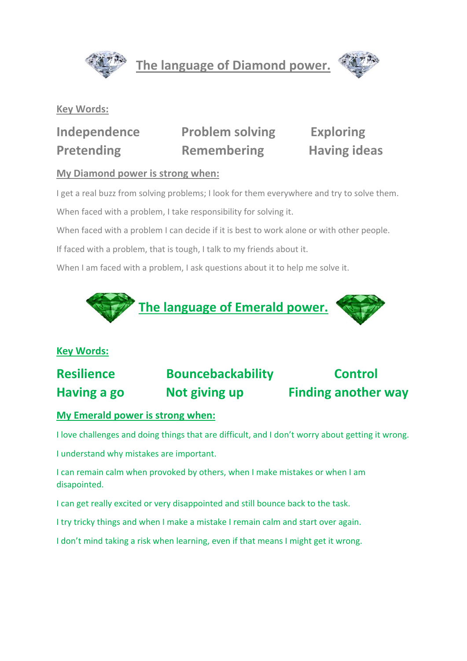

**The language of Diamond power.**



#### **Key Words:**

**Independence Problem solving Exploring Pretending Remembering Having ideas** 

#### **My Diamond power is strong when:**

I get a real buzz from solving problems; I look for them everywhere and try to solve them.

When faced with a problem, I take responsibility for solving it.

When faced with a problem I can decide if it is best to work alone or with other people.

If faced with a problem, that is tough, I talk to my friends about it.

When I am faced with a problem, I ask questions about it to help me solve it.



### **Key Words:**

# **Resilience Bouncebackability Control Having a go Not giving up Finding another way**

#### **My Emerald power is strong when:**

I love challenges and doing things that are difficult, and I don't worry about getting it wrong.

I understand why mistakes are important.

I can remain calm when provoked by others, when I make mistakes or when I am disapointed.

I can get really excited or very disappointed and still bounce back to the task.

I try tricky things and when I make a mistake I remain calm and start over again.

I don't mind taking a risk when learning, even if that means I might get it wrong.